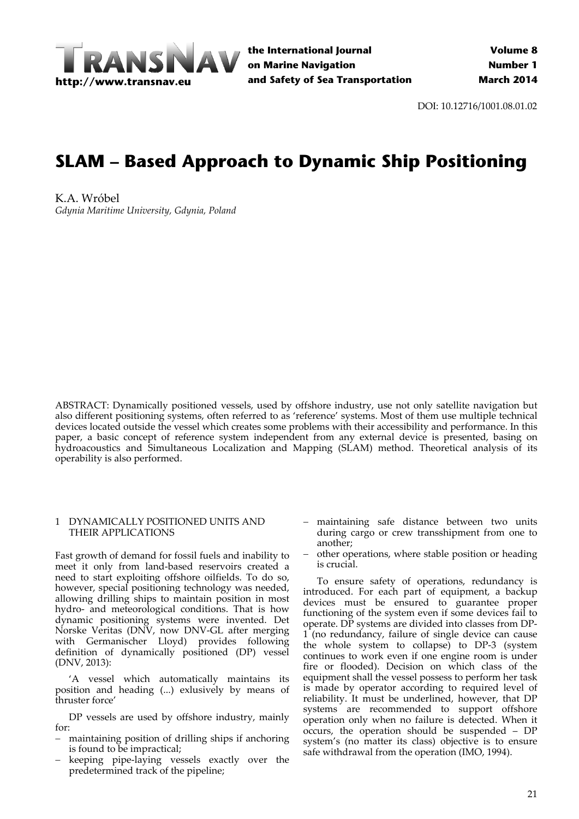

**the International Journal on Marine Navigation and Safety of Sea Transportation**

DOI: 10.12716/1001.08.01.02

# **SLAM – Based Approach to Dynamic Ship Positioning**

K.A. Wróbel *Gdynia Maritime University, Gdynia, Poland*

ABSTRACT: Dynamically positioned vessels, used by offshore industry, use not only satellite navigation but also different positioning systems, often referred to as 'reference' systems. Most of them use multiple technical devices located outside the vessel which creates some problems with their accessibility and performance. In this paper, a basic concept of reference system independent from any external device is presented, basing on hydroacoustics and Simultaneous Localization and Mapping (SLAM) method. Theoretical analysis of its operability is also performed.

## 1 DYNAMICALLY POSITIONED UNITS AND THEIR APPLICATIONS

Fast growth of demand for fossil fuels and inability to meet it only from land‐based reservoirs created a need to start exploiting offshore oilfields. To do so, however, special positioning technology was needed, allowing drilling ships to maintain position in most hydro‐ and meteorological conditions. That is how dynamic positioning systems were invented. Det Norske Veritas (DNV, now DNV‐GL after merging with Germanischer Lloyd) provides following definition of dynamically positioned (DP) vessel (DNV, 2013):

'A vessel which automatically maintains its position and heading (...) exlusively by means of thruster force'

DP vessels are used by offshore industry, mainly for:

- maintaining position of drilling ships if anchoring is found to be impractical;
- keeping pipe‐laying vessels exactly over the predetermined track of the pipeline;
- maintaining safe distance between two units during cargo or crew transshipment from one to another;
- other operations, where stable position or heading is crucial.

To ensure safety of operations, redundancy is introduced. For each part of equipment, a backup devices must be ensured to guarantee proper functioning of the system even if some devices fail to operate. DP systems are divided into classes from DP‐ 1 (no redundancy, failure of single device can cause the whole system to collapse) to DP‐3 (system continues to work even if one engine room is under fire or flooded). Decision on which class of the equipment shall the vessel possess to perform her task is made by operator according to required level of reliability. It must be underlined, however, that DP systems are recommended to support offshore operation only when no failure is detected. When it occurs, the operation should be suspended – DP system's (no matter its class) objective is to ensure safe withdrawal from the operation (IMO, 1994).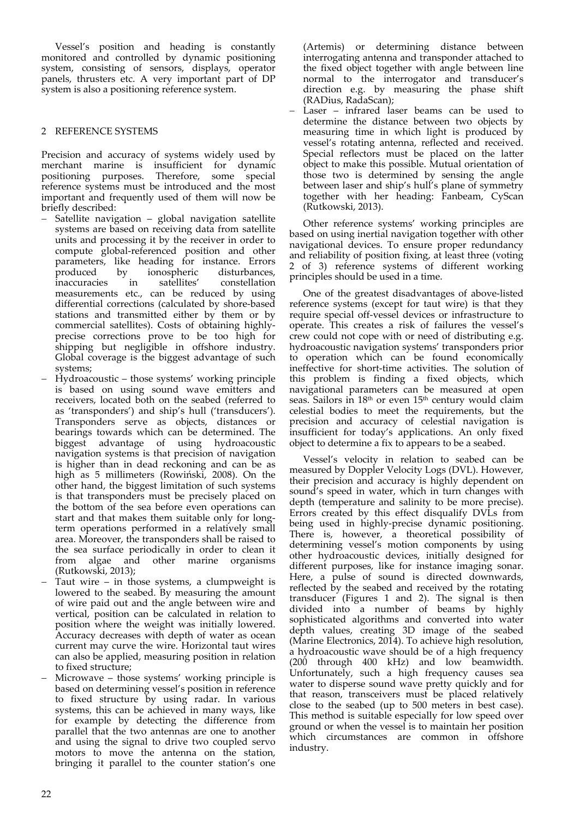Vessel's position and heading is constantly monitored and controlled by dynamic positioning system, consisting of sensors, displays, operator panels, thrusters etc. A very important part of DP system is also a positioning reference system.

# 2 REFERENCE SYSTEMS

Precision and accuracy of systems widely used by merchant marine is insufficient for dynamic positioning purposes. Therefore, some special reference systems must be introduced and the most important and frequently used of them will now be briefly described:

- Satellite navigation global navigation satellite systems are based on receiving data from satellite units and processing it by the receiver in order to compute global‐referenced position and other parameters, like heading for instance. Errors produced by ionospheric disturbances, inaccuracies in satellites' constellation measurements etc., can be reduced by using differential corrections (calculated by shore‐based stations and transmitted either by them or by commercial satellites). Costs of obtaining highly‐ precise corrections prove to be too high for shipping but negligible in offshore industry. Global coverage is the biggest advantage of such systems;
- Hydroacoustic those systems' working principle is based on using sound wave emitters and receivers, located both on the seabed (referred to as 'transponders') and ship's hull ('transducers'). Transponders serve as objects, distances or bearings towards which can be determined. The biggest advantage of using hydroacoustic navigation systems is that precision of navigation is higher than in dead reckoning and can be as high as 5 millimeters (Rowiński, 2008). On the other hand, the biggest limitation of such systems is that transponders must be precisely placed on the bottom of the sea before even operations can start and that makes them suitable only for long‐ term operations performed in a relatively small area. Moreover, the transponders shall be raised to the sea surface periodically in order to clean it from algae and other marine organisms (Rutkowski, 2013);
- Taut wire in those systems, a clumpweight is lowered to the seabed. By measuring the amount of wire paid out and the angle between wire and vertical, position can be calculated in relation to position where the weight was initially lowered. Accuracy decreases with depth of water as ocean current may curve the wire. Horizontal taut wires can also be applied, measuring position in relation to fixed structure;
- Microwave those systems' working principle is based on determining vessel's position in reference to fixed structure by using radar. In various systems, this can be achieved in many ways, like for example by detecting the difference from parallel that the two antennas are one to another and using the signal to drive two coupled servo motors to move the antenna on the station, bringing it parallel to the counter station's one

(Artemis) or determining distance between interrogating antenna and transponder attached to the fixed object together with angle between line normal to the interrogator and transducer's direction e.g. by measuring the phase shift (RADius, RadaScan);

 Laser – infrared laser beams can be used to determine the distance between two objects by measuring time in which light is produced by vessel's rotating antenna, reflected and received. Special reflectors must be placed on the latter object to make this possible. Mutual orientation of those two is determined by sensing the angle between laser and ship's hull's plane of symmetry together with her heading: Fanbeam, CyScan (Rutkowski, 2013).

Other reference systems' working principles are based on using inertial navigation together with other navigational devices. To ensure proper redundancy and reliability of position fixing, at least three (voting of 3) reference systems of different working principles should be used in a time.

One of the greatest disadvantages of above‐listed reference systems (except for taut wire) is that they require special off‐vessel devices or infrastructure to operate. This creates a risk of failures the vessel's crew could not cope with or need of distributing e.g. hydroacoustic navigation systems' transponders prior to operation which can be found economically ineffective for short-time activities. The solution of this problem is finding a fixed objects, which navigational parameters can be measured at open seas. Sailors in 18<sup>th</sup> or even 15<sup>th</sup> century would claim celestial bodies to meet the requirements, but the precision and accuracy of celestial navigation is insufficient for today's applications. An only fixed object to determine a fix to appears to be a seabed.

Vessel's velocity in relation to seabed can be measured by Doppler Velocity Logs (DVL). However, their precision and accuracy is highly dependent on sound's speed in water, which in turn changes with depth (temperature and salinity to be more precise). Errors created by this effect disqualify DVLs from being used in highly‐precise dynamic positioning. There is, however, a theoretical possibility of determining vessel's motion components by using other hydroacoustic devices, initially designed for different purposes, like for instance imaging sonar. Here, a pulse of sound is directed downwards, reflected by the seabed and received by the rotating transducer (Figures 1 and 2). The signal is then divided into a number of beams by highly sophisticated algorithms and converted into water depth values, creating 3D image of the seabed (Marine Electronics, 2014). To achieve high resolution, a hydroacoustic wave should be of a high frequency (200 through 400 kHz) and low beamwidth. Unfortunately, such a high frequency causes sea water to disperse sound wave pretty quickly and for that reason, transceivers must be placed relatively close to the seabed (up to 500 meters in best case). This method is suitable especially for low speed over ground or when the vessel is to maintain her position which circumstances are common in offshore industry.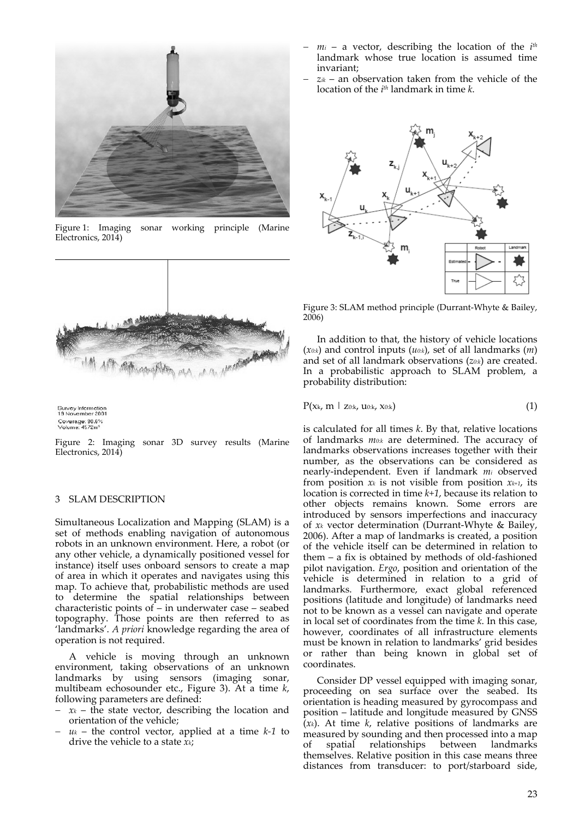

Figure 1: Imaging sonar working principle (Marine Electronics, 2014)



Survey Information<br>19 November 2001 Coverage: 98.6%<br>Volume: 4572m<sup>2</sup>

Figure 2: Imaging sonar 3D survey results (Marine Electronics, 2014)

### 3 SLAM DESCRIPTION

Simultaneous Localization and Mapping (SLAM) is a set of methods enabling navigation of autonomous robots in an unknown environment. Here, a robot (or any other vehicle, a dynamically positioned vessel for instance) itself uses onboard sensors to create a map of area in which it operates and navigates using this map. To achieve that, probabilistic methods are used to determine the spatial relationships between characteristic points of – in underwater case – seabed topography. Those points are then referred to as 'landmarks'. *A priori* knowledge regarding the area of operation is not required.

A vehicle is moving through an unknown environment, taking observations of an unknown landmarks by using sensors (imaging sonar, multibeam echosounder etc., Figure 3). At a time *k*, following parameters are defined:

- $x_k$  the state vector, describing the location and orientation of the vehicle;
- $u_k$  the control vector, applied at a time  $k-1$  to drive the vehicle to a state *xk*;
- *mi* a vector, describing the location of the *i th* landmark whose true location is assumed time invariant;
- *zik* an observation taken from the vehicle of the location of the *i th* landmark in time *k*.



Figure 3: SLAM method principle (Durrant‐Whyte & Bailey, 2006)

In addition to that, the history of vehicle locations (*x0:k*) and control inputs (*u0:k*), set of all landmarks (*m*) and set of all landmark observations (*z0:k*) are created. In a probabilistic approach to SLAM problem, a probability distribution:

$$
P(x_k, m \mid z_{0:k}, u_{0:k}, x_{0:k}) \qquad (1)
$$

is calculated for all times *k*. By that, relative locations of landmarks *m0:k* are determined. The accuracy of landmarks observations increases together with their number, as the observations can be considered as nearly‐independent. Even if landmark *mi* observed from position  $x_k$  is not visible from position  $x_{k+1}$ , its location is corrected in time *k+1*, because its relation to other objects remains known. Some errors are introduced by sensors imperfections and inaccuracy of *xk* vector determination (Durrant‐Whyte & Bailey, 2006). After a map of landmarks is created, a position of the vehicle itself can be determined in relation to them – a fix is obtained by methods of old‐fashioned pilot navigation. *Ergo*, position and orientation of the vehicle is determined in relation to a grid of landmarks. Furthermore, exact global referenced positions (latitude and longitude) of landmarks need not to be known as a vessel can navigate and operate in local set of coordinates from the time *k*. In this case, however, coordinates of all infrastructure elements must be known in relation to landmarks' grid besides or rather than being known in global set of coordinates.

Consider DP vessel equipped with imaging sonar, proceeding on sea surface over the seabed. Its orientation is heading measured by gyrocompass and position – latitude and longitude measured by GNSS  $(x_k)$ . At time  $k$ , relative positions of landmarks are measured by sounding and then processed into a map of spatial relationships between landmarks themselves. Relative position in this case means three distances from transducer: to port/starboard side,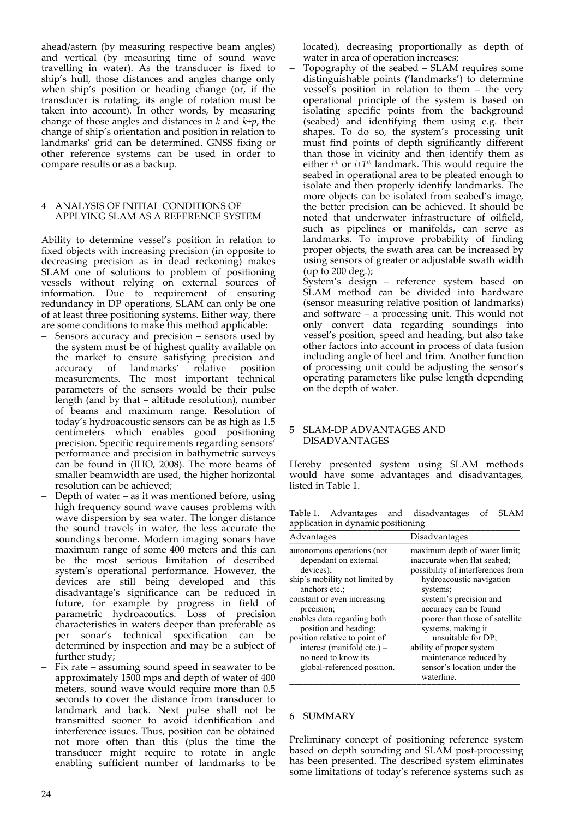ahead/astern (by measuring respective beam angles) and vertical (by measuring time of sound wave travelling in water). As the transducer is fixed to ship's hull, those distances and angles change only when ship's position or heading change (or, if the transducer is rotating, its angle of rotation must be taken into account). In other words, by measuring change of those angles and distances in *k* and *k+p*, the change of ship's orientation and position in relation to landmarks' grid can be determined. GNSS fixing or other reference systems can be used in order to compare results or as a backup.

# 4 ANALYSIS OF INITIAL CONDITIONS OF APPLYING SLAM AS A REFERENCE SYSTEM

Ability to determine vessel's position in relation to fixed objects with increasing precision (in opposite to decreasing precision as in dead reckoning) makes SLAM one of solutions to problem of positioning vessels without relying on external sources of information. Due to requirement of ensuring redundancy in DP operations, SLAM can only be one of at least three positioning systems. Either way, there are some conditions to make this method applicable:

- Sensors accuracy and precision sensors used by the system must be of highest quality available on the market to ensure satisfying precision and accuracy of landmarks' relative position accuracy of landmarks' relative position measurements. The most important technical parameters of the sensors would be their pulse length (and by that – altitude resolution), number of beams and maximum range. Resolution of today's hydroacoustic sensors can be as high as 1.5 centimeters which enables good positioning precision. Specific requirements regarding sensors' performance and precision in bathymetric surveys can be found in (IHO, 2008). The more beams of smaller beamwidth are used, the higher horizontal resolution can be achieved;
- Depth of water as it was mentioned before, using high frequency sound wave causes problems with wave dispersion by sea water. The longer distance the sound travels in water, the less accurate the soundings become. Modern imaging sonars have maximum range of some 400 meters and this can be the most serious limitation of described system's operational performance. However, the devices are still being developed and this disadvantage's significance can be reduced in future, for example by progress in field of parametric hydroacoutics. Loss of precision characteristics in waters deeper than preferable as per sonar's technical specification can be determined by inspection and may be a subject of further study;
- Fix rate assuming sound speed in seawater to be approximately 1500 mps and depth of water of 400 meters, sound wave would require more than 0.5 seconds to cover the distance from transducer to landmark and back. Next pulse shall not be transmitted sooner to avoid identification and interference issues. Thus, position can be obtained not more often than this (plus the time the transducer might require to rotate in angle enabling sufficient number of landmarks to be

located), decreasing proportionally as depth of water in area of operation increases;

- Topography of the seabed SLAM requires some distinguishable points ('landmarks') to determine vessel's position in relation to them – the very operational principle of the system is based on isolating specific points from the background (seabed) and identifying them using e.g. their shapes. To do so, the system's processing unit must find points of depth significantly different than those in vicinity and then identify them as either *i*<sup>th</sup> or *i*+1<sup>th</sup> landmark. This would require the seabed in operational area to be pleated enough to isolate and then properly identify landmarks. The more objects can be isolated from seabed's image, the better precision can be achieved. It should be noted that underwater infrastructure of oilfield, such as pipelines or manifolds, can serve as landmarks. To improve probability of finding proper objects, the swath area can be increased by using sensors of greater or adjustable swath width (up to 200 deg.);
- System's design reference system based on SLAM method can be divided into hardware (sensor measuring relative position of landmarks) and software – a processing unit. This would not only convert data regarding soundings into vessel's position, speed and heading, but also take other factors into account in process of data fusion including angle of heel and trim. Another function of processing unit could be adjusting the sensor's operating parameters like pulse length depending on the depth of water.

## 5 SLAM‐DP ADVANTAGES AND DISADVANTAGES

Hereby presented system using SLAM methods would have some advantages and disadvantages, listed in Table 1.

Table 1. Advantages and disadvantages of SLAM application in dynamic positioning

| Advantages                                                                                                                                                                                                                                                                                                                                    | Disadvantages                                                                                                                                                                                                                                                                                                                                                                  |
|-----------------------------------------------------------------------------------------------------------------------------------------------------------------------------------------------------------------------------------------------------------------------------------------------------------------------------------------------|--------------------------------------------------------------------------------------------------------------------------------------------------------------------------------------------------------------------------------------------------------------------------------------------------------------------------------------------------------------------------------|
| autonomous operations (not<br>dependant on external<br>devices):<br>ship's mobility not limited by<br>anchors etc.:<br>constant or even increasing<br>precision;<br>enables data regarding both<br>position and heading;<br>position relative to point of<br>interest (manifold etc.) –<br>no need to know its<br>global-referenced position. | maximum depth of water limit;<br>inaccurate when flat seabed;<br>possibility of interferences from<br>hydroacoustic navigation<br>systems;<br>system's precision and<br>accuracy can be found<br>poorer than those of satellite<br>systems, making it<br>unsuitable for DP;<br>ability of proper system<br>maintenance reduced by<br>sensor's location under the<br>waterline. |

## 6 SUMMARY

Preliminary concept of positioning reference system based on depth sounding and SLAM post‐processing has been presented. The described system eliminates some limitations of today's reference systems such as